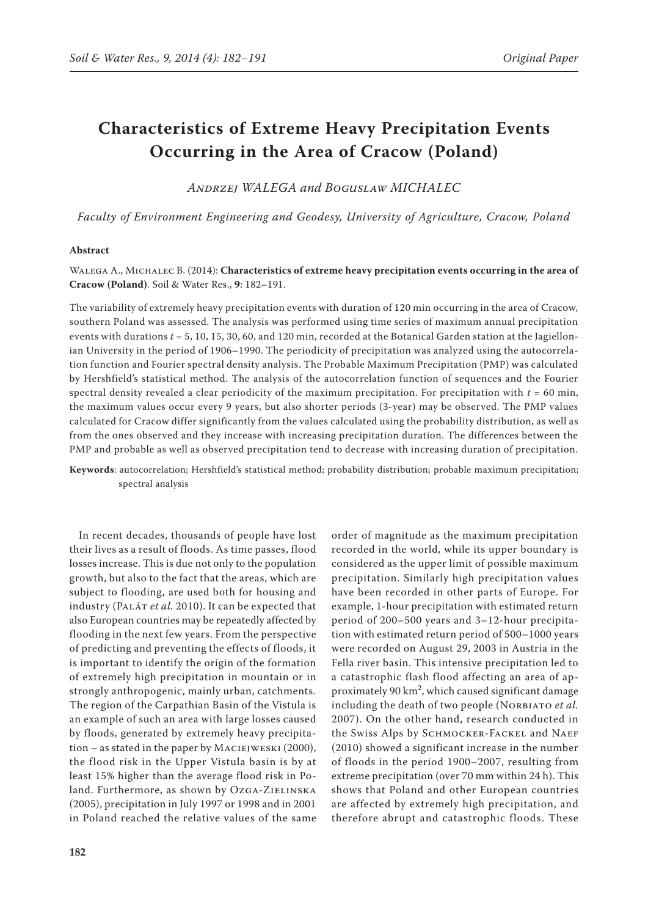# **Characteristics of Extreme Heavy Precipitation Events Occurring in the Area of Cracow (Poland)**

*Andrzej WALEGA and Boguslaw MICHALEC*

*Faculty of Environment Engineering and Geodesy, University of Agriculture, Cracow, Poland*

#### **Abstract**

Walega A., Michalec B. (2014): **Characteristics of extreme heavy precipitation events occurring in the area of Cracow (Poland)**. Soil & Water Res., **9**: 182–191.

The variability of extremely heavy precipitation events with duration of 120 min occurring in the area of Cracow, southern Poland was assessed. The analysis was performed using time series of maximum annual precipitation events with durations  $t = 5$ , 10, 15, 30, 60, and 120 min, recorded at the Botanical Garden station at the Jagiellonian University in the period of 1906–1990. The periodicity of precipitation was analyzed using the autocorrelation function and Fourier spectral density analysis. The Probable Maximum Precipitation (PMP) was calculated by Hershfield's statistical method. The analysis of the autocorrelation function of sequences and the Fourier spectral density revealed a clear periodicity of the maximum precipitation. For precipitation with  $t = 60$  min, the maximum values occur every 9 years, but also shorter periods (3-year) may be observed. The PMP values calculated for Cracow differ significantly from the values calculated using the probability distribution, as well as from the ones observed and they increase with increasing precipitation duration. The differences between the PMP and probable as well as observed precipitation tend to decrease with increasing duration of precipitation.

**Keywords**: autocorrelation; Hershfield's statistical method; probability distribution; probable maximum precipitation; spectral analysis

In recent decades, thousands of people have lost their lives as a result of floods. As time passes, flood losses increase. This is due not only to the population growth, but also to the fact that the areas, which are subject to flooding, are used both for housing and industry (Palát *et al.* 2010). It can be expected that also European countries may be repeatedly affected by flooding in the next few years. From the perspective of predicting and preventing the effects of floods, it is important to identify the origin of the formation of extremely high precipitation in mountain or in strongly anthropogenic, mainly urban, catchments. The region of the Carpathian Basin of the Vistula is an example of such an area with large losses caused by floods, generated by extremely heavy precipitation – as stated in the paper by Maciejweski (2000), the flood risk in the Upper Vistula basin is by at least 15% higher than the average flood risk in Poland. Furthermore, as shown by OzGA-ZIELINSKA (2005), precipitation in July 1997 or 1998 and in 2001 in Poland reached the relative values of the same

order of magnitude as the maximum precipitation recorded in the world, while its upper boundary is considered as the upper limit of possible maximum precipitation. Similarly high precipitation values have been recorded in other parts of Europe. For example, 1-hour precipitation with estimated return period of 200–500 years and 3–12-hour precipitation with estimated return period of 500–1000 years were recorded on August 29, 2003 in Austria in the Fella river basin. This intensive precipitation led to a catastrophic flash flood affecting an area of approximately 90  $\text{km}^2$ , which caused significant damage including the death of two people (NORBIATO et al. 2007). On the other hand, research conducted in the Swiss Alps by SCHMOCKER-FACKEL and NAEF (2010) showed a significant increase in the number of floods in the period 1900–2007, resulting from extreme precipitation (over 70 mm within 24 h). This shows that Poland and other European countries are affected by extremely high precipitation, and therefore abrupt and catastrophic floods. These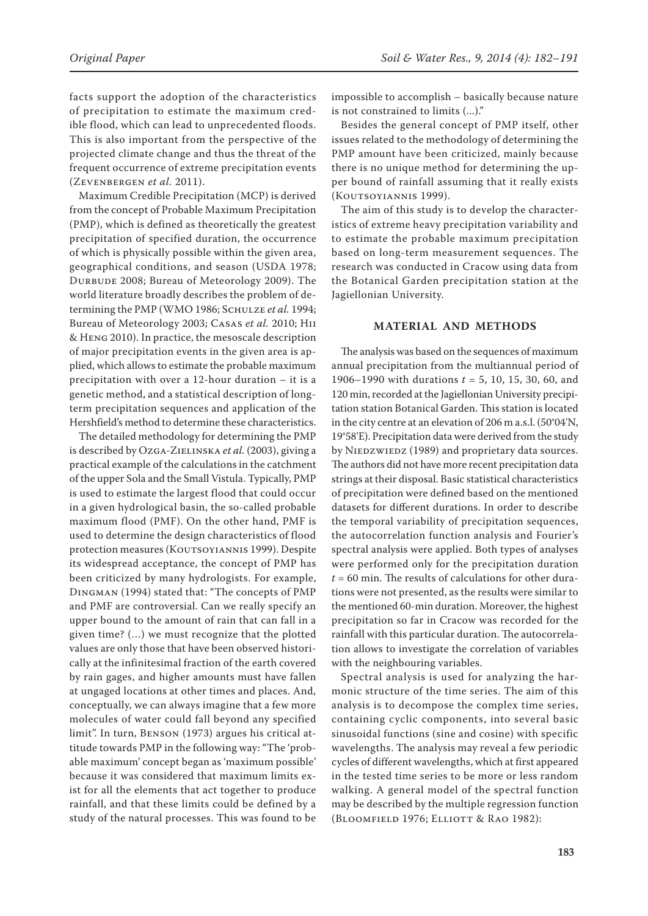facts support the adoption of the characteristics of precipitation to estimate the maximum credible flood, which can lead to unprecedented floods. This is also important from the perspective of the projected climate change and thus the threat of the frequent occurrence of extreme precipitation events (Zevenbergen *et al.* 2011).

Maximum Credible Precipitation (MCP) is derived from the concept of Probable Maximum Precipitation (PMP), which is defined as theoretically the greatest precipitation of specified duration, the occurrence of which is physically possible within the given area, geographical conditions, and season (USDA 1978; DURBUDE 2008; Bureau of Meteorology 2009). The world literature broadly describes the problem of determining the PMP (WMO 1986; Schulze *et al.* 1994; Bureau of Meteorology 2003; Casas *et al.* 2010; Hii & Heng 2010). In practice, the mesoscale description of major precipitation events in the given area is applied, which allows to estimate the probable maximum precipitation with over a 12-hour duration – it is a genetic method, and a statistical description of longterm precipitation sequences and application of the Hershfield's method to determine these characteristics.

The detailed methodology for determining the PMP is described by Ozga-ZIELINSKA *et al.* (2003), giving a practical example of the calculations in the catchment of the upper Sola and the Small Vistula. Typically, PMP is used to estimate the largest flood that could occur in a given hydrological basin, the so-called probable maximum flood (PMF). On the other hand, PMF is used to determine the design characteristics of flood protection measures (KOUTSOYIANNIS 1999). Despite its widespread acceptance, the concept of PMP has been criticized by many hydrologists. For example, Dingman (1994) stated that: "The concepts of PMP and PMF are controversial. Can we really specify an upper bound to the amount of rain that can fall in a given time? (…) we must recognize that the plotted values are only those that have been observed historically at the infinitesimal fraction of the earth covered by rain gages, and higher amounts must have fallen at ungaged locations at other times and places. And, conceptually, we can always imagine that a few more molecules of water could fall beyond any specified limit". In turn, Benson (1973) argues his critical attitude towards PMP in the following way: "The 'probable maximum' concept began as 'maximum possible' because it was considered that maximum limits exist for all the elements that act together to produce rainfall, and that these limits could be defined by a study of the natural processes. This was found to be impossible to accomplish – basically because nature is not constrained to limits (...)."

Besides the general concept of PMP itself, other issues related to the methodology of determining the PMP amount have been criticized, mainly because there is no unique method for determining the upper bound of rainfall assuming that it really exists (KOUTSOYIANNIS 1999).

The aim of this study is to develop the characteristics of extreme heavy precipitation variability and to estimate the probable maximum precipitation based on long-term measurement sequences. The research was conducted in Cracow using data from the Botanical Garden precipitation station at the Jagiellonian University.

# **MATERIAL AND METHODS**

The analysis was based on the sequences of maximum annual precipitation from the multiannual period of 1906–1990 with durations *t* = 5, 10, 15, 30, 60, and 120 min, recorded at the Jagiellonian University precipitation station Botanical Garden. This station is located in the city centre at an elevation of 206 m a.s.l. (50°04'N, 19°58'E). Precipitation data were derived from the study by NIEDZWIEDZ (1989) and proprietary data sources. The authors did not have more recent precipitation data strings at their disposal. Basic statistical characteristics of precipitation were defined based on the mentioned datasets for different durations. In order to describe the temporal variability of precipitation sequences, the autocorrelation function analysis and Fourier's spectral analysis were applied. Both types of analyses were performed only for the precipitation duration  $t = 60$  min. The results of calculations for other durations were not presented, as the results were similar to the mentioned 60-min duration. Moreover, the highest precipitation so far in Cracow was recorded for the rainfall with this particular duration. The autocorrelation allows to investigate the correlation of variables with the neighbouring variables.

Spectral analysis is used for analyzing the harmonic structure of the time series. The aim of this analysis is to decompose the complex time series, containing cyclic components, into several basic sinusoidal functions (sine and cosine) with specific wavelengths. The analysis may reveal a few periodic cycles of different wavelengths, which at first appeared in the tested time series to be more or less random walking. A general model of the spectral function may be described by the multiple regression function (Bloomfield 1976; Elliott & Rao 1982):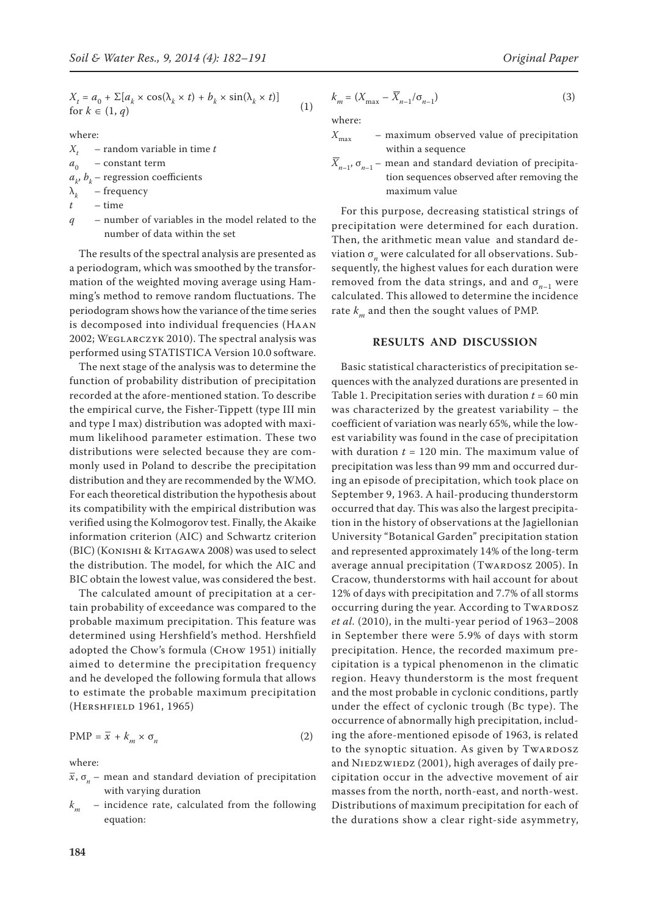$$
X_{t} = a_{0} + \Sigma[a_{k} \times \cos(\lambda_{k} \times t) + b_{k} \times \sin(\lambda_{k} \times t)]
$$
  
for  $k \in (1, q)$  (1)

where:

 $X_t$  – random variable in time *t* 

 $a_0$  – constant term

- $a_k$ ,  $b_k$  regression coefficients
- $λ_k$  frequency<br>  $t$  time
- *t* time
- *q* number of variables in the model related to the number of data within the set

The results of the spectral analysis are presented as a periodogram, which was smoothed by the transformation of the weighted moving average using Hamming's method to remove random fluctuations. The periodogram shows how the variance of the time series is decomposed into individual frequencies (Haan 2002; Weglarczyk 2010). The spectral analysis was performed using STATISTICA Version 10.0 software.

The next stage of the analysis was to determine the function of probability distribution of precipitation recorded at the afore-mentioned station. To describe the empirical curve, the Fisher-Tippett (type III min and type I max) distribution was adopted with maximum likelihood parameter estimation. These two distributions were selected because they are commonly used in Poland to describe the precipitation distribution and they are recommended by the WMO. For each theoretical distribution the hypothesis about its compatibility with the empirical distribution was verified using the Kolmogorov test. Finally, the Akaike information criterion (AIC) and Schwartz criterion (BIC) (Konishi & Kitagawa 2008) was used to select the distribution. The model, for which the AIC and BIC obtain the lowest value, was considered the best.

The calculated amount of precipitation at a certain probability of exceedance was compared to the probable maximum precipitation. This feature was determined using Hershfield's method. Hershfield adopted the Chow's formula (CHOW 1951) initially aimed to determine the precipitation frequency and he developed the following formula that allows to estimate the probable maximum precipitation (Hershfield 1961, 1965)

$$
\text{PMP} = \overline{x} + k_m \times \sigma_n \tag{2}
$$

where:

- $\bar{x}$ ,  $\sigma_n$  mean and standard deviation of precipitation with varying duration
- $k_m$  incidence rate, calculated from the following equation:

$$
k_m = (X_{\max} - \overline{X}_{n-1}/\sigma_{n-1})
$$
\n(3)

where:

- *X*<sub>max</sub> maximum observed value of precipitation within a sequence
- $\overline{X}_{n-1}$ ,  $\sigma_{n-1}$  mean and standard deviation of precipitation sequences observed after removing the maximum value

For this purpose, decreasing statistical strings of precipitation were determined for each duration. Then, the arithmetic mean value and standard deviation σ*n* were calculated for all observations. Subsequently, the highest values for each duration were removed from the data strings, and and σ<sub>*n*-1</sub> were calculated. This allowed to determine the incidence rate  $k_m$  and then the sought values of PMP.

### **RESULTS AND DISCUSSION**

Basic statistical characteristics of precipitation sequences with the analyzed durations are presented in Table 1. Precipitation series with duration  $t = 60$  min was characterized by the greatest variability – the coefficient of variation was nearly 65%, while the lowest variability was found in the case of precipitation with duration *t* = 120 min. The maximum value of precipitation was less than 99 mm and occurred during an episode of precipitation, which took place on September 9, 1963. A hail-producing thunderstorm occurred that day. This was also the largest precipitation in the history of observations at the Jagiellonian University "Botanical Garden" precipitation station and represented approximately 14% of the long-term average annual precipitation (TwARDOSZ 2005). In Cracow, thunderstorms with hail account for about 12% of days with precipitation and 7.7% of all storms occurring during the year. According to TWARDOSZ *et al.* (2010), in the multi-year period of 1963–2008 in September there were 5.9% of days with storm precipitation. Hence, the recorded maximum precipitation is a typical phenomenon in the climatic region. Heavy thunderstorm is the most frequent and the most probable in cyclonic conditions, partly under the effect of cyclonic trough (Bc type). The occurrence of abnormally high precipitation, including the afore-mentioned episode of 1963, is related to the synoptic situation. As given by TWARDOSZ and NIEDZWIEDZ (2001), high averages of daily precipitation occur in the advective movement of air masses from the north, north-east, and north-west. Distributions of maximum precipitation for each of the durations show a clear right-side asymmetry,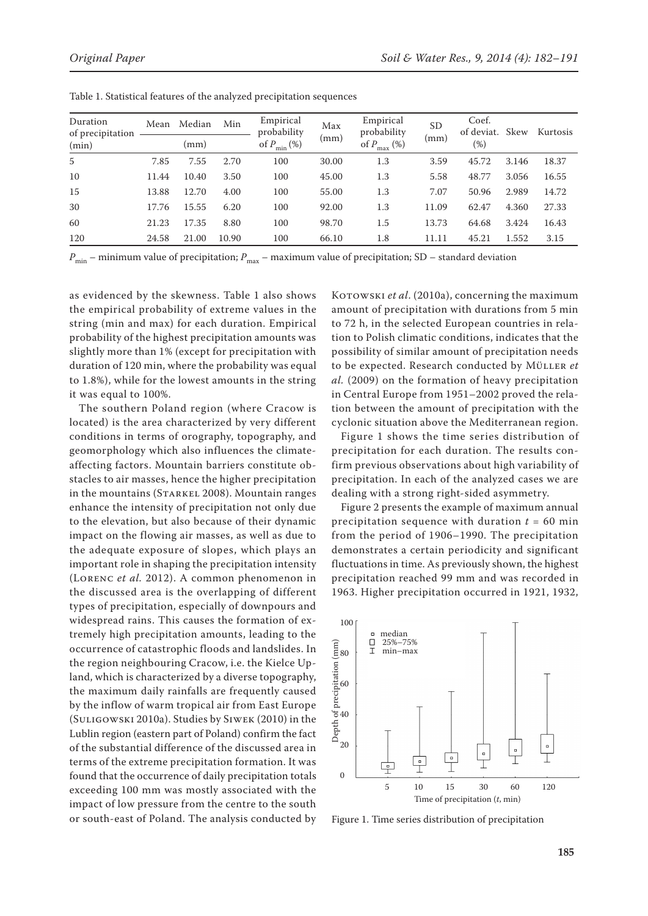| Duration<br>of precipitation<br>(min) | Mean  | Median<br>(mm) | Min   | Empirical<br>probability<br>of $P_{\min}(\%)$ | Max<br>(mm) | Empirical<br>probability<br>of $P_{\text{max}}(\%)$ | <b>SD</b><br>(mm) | Coef.<br>of deviat. Skew<br>(%) |       | Kurtosis |
|---------------------------------------|-------|----------------|-------|-----------------------------------------------|-------------|-----------------------------------------------------|-------------------|---------------------------------|-------|----------|
| 5                                     | 7.85  | 7.55           | 2.70  | 100                                           | 30.00       | 1.3                                                 | 3.59              | 45.72                           | 3.146 | 18.37    |
| 10                                    | 11.44 | 10.40          | 3.50  | 100                                           | 45.00       | 1.3                                                 | 5.58              | 48.77                           | 3.056 | 16.55    |
| 15                                    | 13.88 | 12.70          | 4.00  | 100                                           | 55.00       | 1.3                                                 | 7.07              | 50.96                           | 2.989 | 14.72    |
| 30                                    | 17.76 | 15.55          | 6.20  | 100                                           | 92.00       | 1.3                                                 | 11.09             | 62.47                           | 4.360 | 27.33    |
| 60                                    | 21.23 | 17.35          | 8.80  | 100                                           | 98.70       | 1.5                                                 | 13.73             | 64.68                           | 3.424 | 16.43    |
| 120                                   | 24.58 | 21.00          | 10.90 | 100                                           | 66.10       | 1.8                                                 | 11.11             | 45.21                           | 1.552 | 3.15     |

Table 1. Statistical features of the analyzed precipitation sequences

 $P_{\text{min}}$  – minimum value of precipitation;  $P_{\text{max}}$  – maximum value of precipitation; SD – standard deviation

as evidenced by the skewness. Table 1 also shows the empirical probability of extreme values in the string (min and max) for each duration. Empirical probability of the highest precipitation amounts was slightly more than 1% (except for precipitation with duration of 120 min, where the probability was equal to 1.8%), while for the lowest amounts in the string it was equal to 100%.

The southern Poland region (where Cracow is located) is the area characterized by very different conditions in terms of orography, topography, and geomorphology which also influences the climateaffecting factors. Mountain barriers constitute obstacles to air masses, hence the higher precipitation in the mountains (STARKEL 2008). Mountain ranges enhance the intensity of precipitation not only due to the elevation, but also because of their dynamic impact on the flowing air masses, as well as due to the adequate exposure of slopes, which plays an important role in shaping the precipitation intensity (Lorenc *et al.* 2012). A common phenomenon in the discussed area is the overlapping of different types of precipitation, especially of downpours and widespread rains. This causes the formation of extremely high precipitation amounts, leading to the occurrence of catastrophic floods and landslides. In the region neighbouring Cracow, i.e. the Kielce Upland, which is characterized by a diverse topography, the maximum daily rainfalls are frequently caused by the inflow of warm tropical air from East Europe (Suligowski 2010a). Studies by Siwek (2010) in the Lublin region (eastern part of Poland) confirm the fact of the substantial difference of the discussed area in terms of the extreme precipitation formation. It was found that the occurrence of daily precipitation totals exceeding 100 mm was mostly associated with the impact of low pressure from the centre to the south or south-east of Poland. The analysis conducted by KOTOWSKI *et al.* (2010a), concerning the maximum amount of precipitation with durations from 5 min to 72 h, in the selected European countries in relation to Polish climatic conditions, indicates that the possibility of similar amount of precipitation needs to be expected. Research conducted by Müller *et al.* (2009) on the formation of heavy precipitation in Central Europe from 1951–2002 proved the relation between the amount of precipitation with the cyclonic situation above the Mediterranean region.

Figure 1 shows the time series distribution of precipitation for each duration. The results confirm previous observations about high variability of precipitation. In each of the analyzed cases we are dealing with a strong right-sided asymmetry.

Figure 2 presents the example of maximum annual precipitation sequence with duration *t* = 60 min from the period of 1906–1990. The precipitation demonstrates a certain periodicity and significant fluctuations in time. As previously shown, the highest precipitation reached 99 mm and was recorded in 1963. Higher precipitation occurred in 1921, 1932,

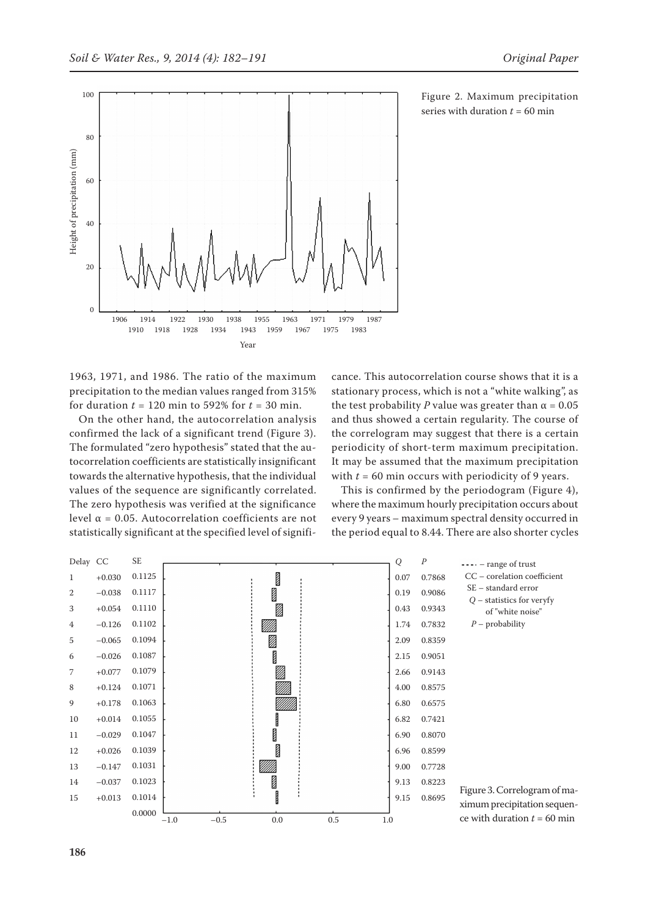

1963, 1971, and 1986. The ratio of the maximum precipitation to the median values ranged from 315% for duration  $t = 120$  min to 592% for  $t = 30$  min.

On the other hand, the autocorrelation analysis confirmed the lack of a significant trend (Figure 3). The formulated "zero hypothesis" stated that the autocorrelation coefficients are statistically insignificant towards the alternative hypothesis, that the individual values of the sequence are significantly correlated. The zero hypothesis was verified at the significance level α = 0.05. Autocorrelation coefficients are not statistically significant at the specified level of signifi-

cance. This autocorrelation course shows that it is a stationary process, which is not a "white walking", as the test probability *P* value was greater than  $\alpha = 0.05$ and thus showed a certain regularity. The course of the correlogram may suggest that there is a certain periodicity of short-term maximum precipitation. It may be assumed that the maximum precipitation with *t* = 60 min occurs with periodicity of 9 years.

This is confirmed by the periodogram (Figure 4), where the maximum hourly precipitation occurs about every 9 years – maximum spectral density occurred in the period equal to 8.44. There are also shorter cycles



Figure 2. Maximum precipitation series with duration  $t = 60$  min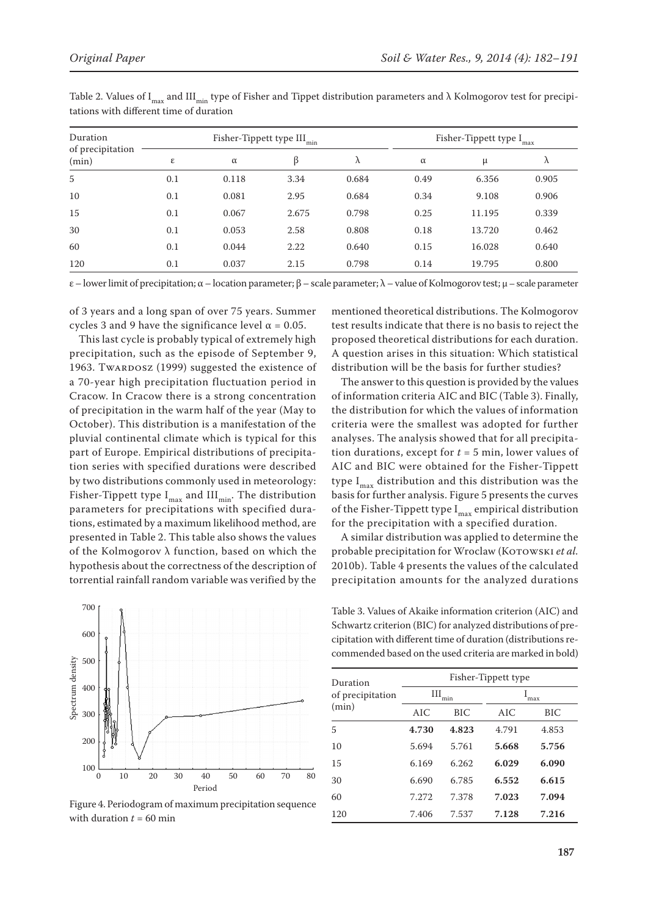| Duration<br>of precipitation<br>(min) |     |          | Fisher-Tippett type $\rm III_{min}$ | Fisher-Tippett type $\mathbf{I}_{\max}$ |          |        |       |
|---------------------------------------|-----|----------|-------------------------------------|-----------------------------------------|----------|--------|-------|
|                                       | ε   | $\alpha$ | β                                   | λ                                       | $\alpha$ | μ      | Λ     |
| 5                                     | 0.1 | 0.118    | 3.34                                | 0.684                                   | 0.49     | 6.356  | 0.905 |
| 10                                    | 0.1 | 0.081    | 2.95                                | 0.684                                   | 0.34     | 9.108  | 0.906 |
| 15                                    | 0.1 | 0.067    | 2.675                               | 0.798                                   | 0.25     | 11.195 | 0.339 |
| 30                                    | 0.1 | 0.053    | 2.58                                | 0.808                                   | 0.18     | 13.720 | 0.462 |
| 60                                    | 0.1 | 0.044    | 2.22                                | 0.640                                   | 0.15     | 16.028 | 0.640 |
| 120                                   | 0.1 | 0.037    | 2.15                                | 0.798                                   | 0.14     | 19.795 | 0.800 |

Table 2. Values of  $I_{max}$  and III<sub>min</sub> type of Fisher and Tippet distribution parameters and  $\lambda$  Kolmogorov test for precipitations with different time of duration

ε – lower limit of precipitation; α – location parameter; β – scale parameter; λ – value of Kolmogorov test; μ – scale parameter

of 3 years and a long span of over 75 years. Summer cycles 3 and 9 have the significance level  $\alpha$  = 0.05.

This last cycle is probably typical of extremely high precipitation, such as the episode of September 9, 1963. Twarposz (1999) suggested the existence of a 70-year high precipitation fluctuation period in Cracow. In Cracow there is a strong concentration of precipitation in the warm half of the year (May to October). This distribution is a manifestation of the pluvial continental climate which is typical for this part of Europe. Empirical distributions of precipitation series with specified durations were described by two distributions commonly used in meteorology: Fisher-Tippett type  $I_{max}$  and  $III_{min}$ . The distribution parameters for precipitations with specified durations, estimated by a maximum likelihood method, are presented in Table 2. This table also shows the values of the Kolmogorov λ function, based on which the hypothesis about the correctness of the description of torrential rainfall random variable was verified by the



Figure 4. Periodogram of maximum precipitation sequence with duration  $t = 60$  min

mentioned theoretical distributions. The Kolmogorov test results indicate that there is no basis to reject the proposed theoretical distributions for each duration. A question arises in this situation: Which statistical distribution will be the basis for further studies?

The answer to this question is provided by the values of information criteria AIC and BIC (Table 3). Finally, the distribution for which the values of information criteria were the smallest was adopted for further analyses. The analysis showed that for all precipitation durations, except for *t* = 5 min, lower values of AIC and BIC were obtained for the Fisher-Tippett type  $I_{max}$  distribution and this distribution was the basis for further analysis. Figure 5 presents the curves of the Fisher-Tippett type  $I_{max}$  empirical distribution for the precipitation with a specified duration.

A similar distribution was applied to determine the probable precipitation for Wroclaw (KOTOWSKI et al. 2010b). Table 4 presents the values of the calculated precipitation amounts for the analyzed durations

Table 3. Values of Akaike information criterion (AIC) and Schwartz criterion (BIC) for analyzed distributions of precipitation with different time of duration (distributions recommended based on the used criteria are marked in bold)

| Duration         | Fisher-Tippett type |                 |       |       |  |  |  |
|------------------|---------------------|-----------------|-------|-------|--|--|--|
| of precipitation |                     | $\rm III_{min}$ | max   |       |  |  |  |
| (min)            | AIC                 | <b>BIC</b>      | AIC   | BIC   |  |  |  |
| 5                | 4.730               | 4.823           | 4.791 | 4.853 |  |  |  |
| 10               | 5.694               | 5.761           | 5.668 | 5.756 |  |  |  |
| 15               | 6.169               | 6.262           | 6.029 | 6.090 |  |  |  |
| 30               | 6.690               | 6.785           | 6.552 | 6.615 |  |  |  |
| 60               | 7.272               | 7.378           | 7.023 | 7.094 |  |  |  |
| 120              | 7.406               | 7.537           | 7.128 | 7.216 |  |  |  |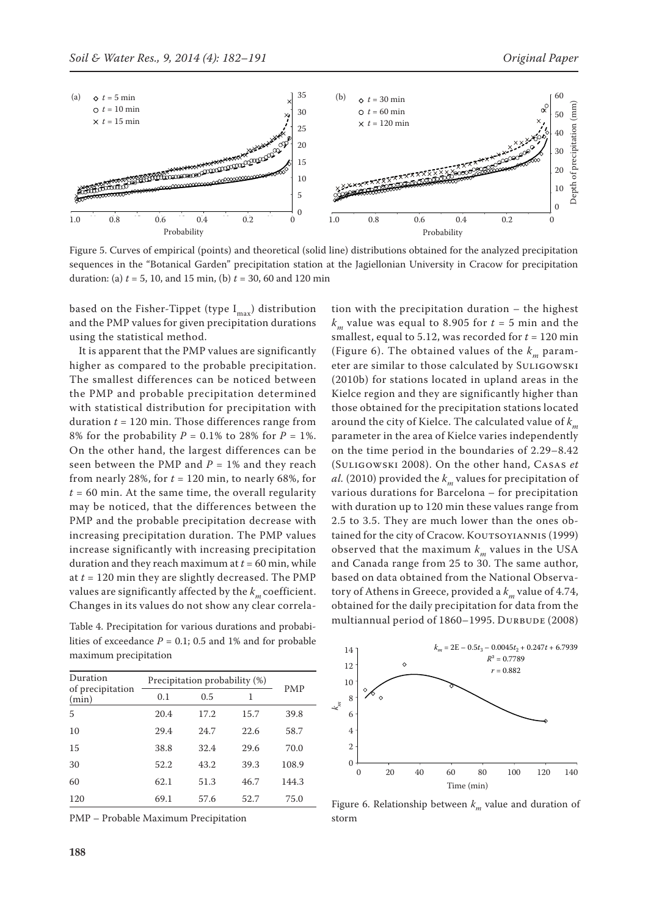

35

Figure 5. Curves of empirical (points) and theoretical (solid line) distributions obtained for the analyzed precipitation sequences in the "Botanical Garden" precipitation station at the Jagiellonian University in Cracow for precipitation duration: (a) *t* = 5, 10, and 15 min, (b) *t* = 30, 60 and 120 min

based on the Fisher-Tippet (type  $I_{max}$ ) distribution and the PMP values for given precipitation durations using the statistical method.

It is apparent that the PMP values are significantly higher as compared to the probable precipitation. The smallest differences can be noticed between the PMP and probable precipitation determined with statistical distribution for precipitation with duration *t* = 120 min. Those differences range from 8% for the probability  $P = 0.1\%$  to 28% for  $P = 1\%$ . On the other hand, the largest differences can be seen between the PMP and  $P = 1\%$  and they reach from nearly 28%, for  $t = 120$  min, to nearly 68%, for  $t = 60$  min. At the same time, the overall regularity may be noticed, that the differences between the PMP and the probable precipitation decrease with increasing precipitation duration. The PMP values increase significantly with increasing precipitation duration and they reach maximum at  $t = 60$  min, while at *t* = 120 min they are slightly decreased. The PMP values are significantly affected by the  $k_m$  coefficient. Changes in its values do not show any clear correla-

Table 4. Precipitation for various durations and probabilities of exceedance  $P = 0.1$ ; 0.5 and 1% and for probable maximum precipitation

| Duration                  | Precipitation probability (%) |      |      |            |  |
|---------------------------|-------------------------------|------|------|------------|--|
| of precipitation<br>(min) | 0.1                           | 0.5  | 1    | <b>PMP</b> |  |
| 5                         | 20.4                          | 17.2 | 15.7 | 39.8       |  |
| 10                        | 29.4                          | 24.7 | 22.6 | 58.7       |  |
| 15                        | 38.8                          | 32.4 | 29.6 | 70.0       |  |
| 30                        | 52.2                          | 43.2 | 39.3 | 108.9      |  |
| 60                        | 62.1                          | 51.3 | 46.7 | 144.3      |  |
| 120                       | 69.1                          | 57.6 | 52.7 | 75.0       |  |
|                           |                               |      |      |            |  |

PMP – Probable Maximum Precipitation

tion with the precipitation duration – the highest  $k_m$  value was equal to 8.905 for  $t = 5$  min and the smallest, equal to 5.12, was recorded for *t* = 120 min (Figure 6). The obtained values of the  $k_m$  parameter are similar to those calculated by SULIGOWSKI (2010b) for stations located in upland areas in the Kielce region and they are significantly higher than those obtained for the precipitation stations located around the city of Kielce. The calculated value of *km* parameter in the area of Kielce varies independently on the time period in the boundaries of 2.29–8.42 (Suligowski 2008). On the other hand, Casas *et al.* (2010) provided the  $k_m$  values for precipitation of various durations for Barcelona – for precipitation with duration up to 120 min these values range from 2.5 to 3.5. They are much lower than the ones obtained for the city of Cracow. KOUTSOYIANNIS (1999) observed that the maximum  $k_m$  values in the USA and Canada range from 25 to 30. The same author, based on data obtained from the National Observatory of Athens in Greece, provided a  $k_m$  value of 4.74, obtained for the daily precipitation for data from the multiannual period of 1860-1995. DURBUDE (2008)



Figure 6. Relationship between  $k_m$  value and duration of storm on storm example and the storm of the storm of the storm of the storm of the storm of the storm of the storm of the storm of the storm of the storm of the storm of the storm of the storm of the storm of the storm of the st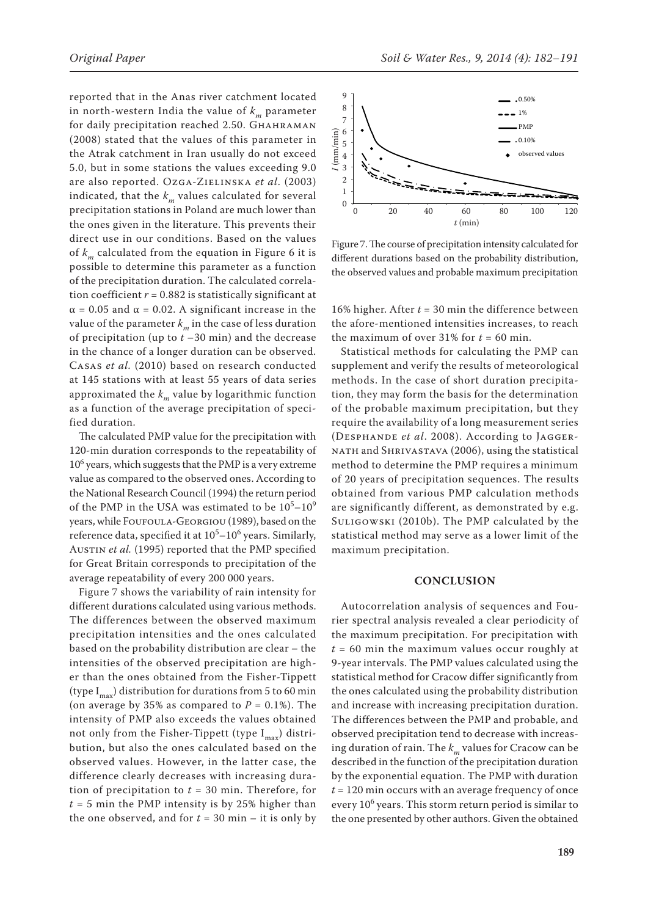reported that in the Anas river catchment located 8 in north-western India the value of  $k_m^{}$  parameter for daily precipitation reached 2.50. Ghahraman 6 (2008) stated that the values of this parameter in 5 the Atrak catchment in Iran usually do not exceed 5.0, but in some stations the values exceeding 9.0 4 are also reported. Ozga-Zielinska *et al*. (2003) 3 indicated, that the  $k_m$  values calculated for several precipitation stations in Poland are much lower than 1 the ones given in the literature. This prevents their direct use in our conditions. Based on the values of *km* calculated from the equation in Figure 6 it is possible to determine this parameter as a function of the precipitation duration. The calculated correlation coefficient  $r = 0.882$  is statistically significant at  $\alpha$  = 0.05 and  $\alpha$  = 0.02. A significant increase in the value of the parameter  $k_m$  in the case of less duration of precipitation (up to *t* –30 min) and the decrease in the chance of a longer duration can be observed. Casas *et al.* (2010) based on research conducted at 145 stations with at least 55 years of data series approximated the  $k_m$  value by logarithmic function as a function of the average precipitation of specified duration. n<br>:<br>di

The calculated PMP value for the precipitation with 120-min duration corresponds to the repeatability of 10<sup>6</sup> years, which suggests that the PMP is a very extreme value as compared to the observed ones. According to the National Research Council (1994) the return period of the PMP in the USA was estimated to be  $10^5-10^9$ years, while FOUFOULA-GEORGIOU (1989), based on the reference data, specified it at  $10^5$ – $10^6$  years. Similarly, AUSTIN *et al.* (1995) reported that the PMP specified for Great Britain corresponds to precipitation of the average repeatability of every 200 000 years.

Figure 7 shows the variability of rain intensity for different durations calculated using various methods. The differences between the observed maximum precipitation intensities and the ones calculated based on the probability distribution are clear – the intensities of the observed precipitation are higher than the ones obtained from the Fisher-Tippett (type  $I_{max}$ ) distribution for durations from 5 to 60 min (on average by 35% as compared to  $P = 0.1\%$ ). The intensity of PMP also exceeds the values obtained not only from the Fisher-Tippett (type  $I_{\text{max}}$ ) distribution, but also the ones calculated based on the observed values. However, in the latter case, the difference clearly decreases with increasing duration of precipitation to  $t = 30$  min. Therefore, for  $t = 5$  min the PMP intensity is by 25% higher than the one observed, and for  $t = 30$  min – it is only by



es Figure 7. The course of precipitation intensity calculated for different durations based on the probability distribution, the observed values and probable maximum precipitation *t* (min)

16% higher. After *t* = 30 min the difference between the afore-mentioned intensities increases, to reach the maximum of over  $31\%$  for  $t = 60$  min.

Statistical methods for calculating the PMP can supplement and verify the results of meteorological methods. In the case of short duration precipitation, they may form the basis for the determination of the probable maximum precipitation, but they require the availability of a long measurement series (Desphande *et al*. 2008). According to Jaggernath and Shrivastava (2006), using the statistical method to determine the PMP requires a minimum of 20 years of precipitation sequences. The results obtained from various PMP calculation methods are significantly different, as demonstrated by e.g. Suligowski (2010b). The PMP calculated by the statistical method may serve as a lower limit of the maximum precipitation.

#### **CONCLUSION**

Autocorrelation analysis of sequences and Fourier spectral analysis revealed a clear periodicity of the maximum precipitation. For precipitation with  $t = 60$  min the maximum values occur roughly at 9-year intervals. The PMP values calculated using the statistical method for Cracow differ significantly from the ones calculated using the probability distribution and increase with increasing precipitation duration. The differences between the PMP and probable, and observed precipitation tend to decrease with increasing duration of rain. The  $k_m$  values for Cracow can be described in the function of the precipitation duration by the exponential equation. The PMP with duration *t* = 120 min occurs with an average frequency of once every  $10^6$  years. This storm return period is similar to the one presented by other authors. Given the obtained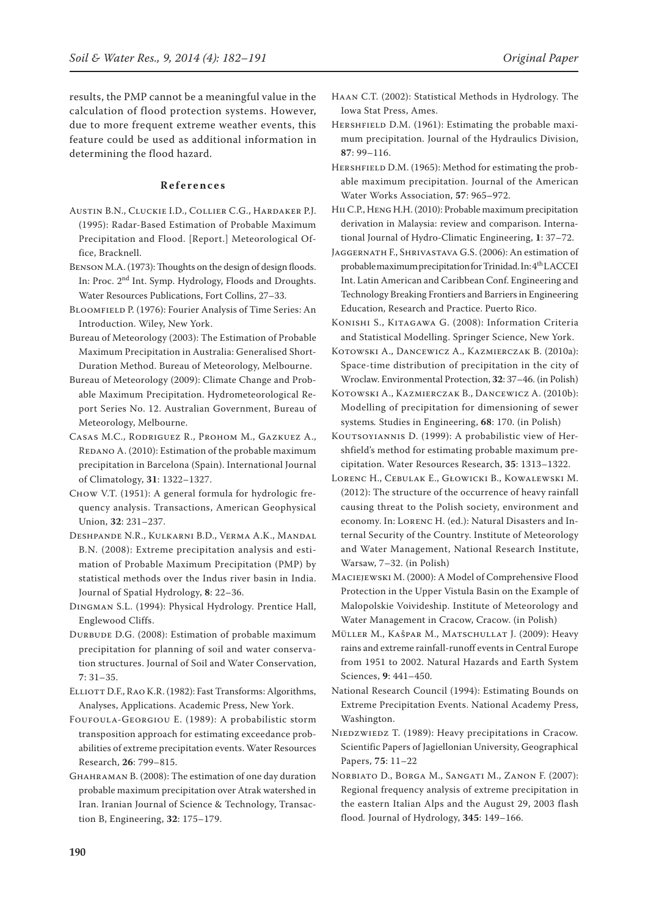results, the PMP cannot be a meaningful value in the calculation of flood protection systems. However, due to more frequent extreme weather events, this feature could be used as additional information in determining the flood hazard.

# **References**

- Austin B.N., Cluckie I.D., Collier C.G., Hardaker P.J. (1995): Radar-Based Estimation of Probable Maximum Precipitation and Flood. [Report.] Meteorological Office, Bracknell.
- Benson M.A. (1973): Thoughts on the design of design floods. In: Proc. 2nd Int. Symp. Hydrology, Floods and Droughts. Water Resources Publications, Fort Collins, 27–33.
- BLOOMFIELD P. (1976): Fourier Analysis of Time Series: An Introduction. Wiley, New York.
- Bureau of Meteorology (2003): The Estimation of Probable Maximum Precipitation in Australia: Generalised Short-Duration Method. Bureau of Meteorology, Melbourne.
- Bureau of Meteorology (2009): Climate Change and Probable Maximum Precipitation. Hydrometeorological Report Series No. 12. Australian Government, Bureau of Meteorology, Melbourne.
- Casas M.C., Rodriguez R., Prohom M., Gazkuez A., REDANO A. (2010): Estimation of the probable maximum precipitation in Barcelona (Spain). International Journal of Climatology, **31**: 1322–1327.
- Chow V.T. (1951): A general formula for hydrologic frequency analysis. Transactions, American Geophysical Union, **32**: 231–237.
- Deshpande N.R., Kulkarni B.D., Verma A.K., Mandal B.N. (2008): Extreme precipitation analysis and estimation of Probable Maximum Precipitation (PMP) by statistical methods over the Indus river basin in India. Journal of Spatial Hydrology, **8**: 22–36.
- Dingman S.L. (1994): Physical Hydrology. Prentice Hall, Englewood Cliffs.
- DURBUDE D.G. (2008): Estimation of probable maximum precipitation for planning of soil and water conservation structures. Journal of Soil and Water Conservation, **7**: 31–35.
- Elliott D.F., Rao K.R. (1982): Fast Transforms: Algorithms, Analyses, Applications. Academic Press, New York.
- FOUFOULA-GEORGIOU E. (1989): A probabilistic storm transposition approach for estimating exceedance probabilities of extreme precipitation events. Water Resources Research, **26**: 799–815.
- GHAHRAMAN B. (2008): The estimation of one day duration probable maximum precipitation over Atrak watershed in Iran. Iranian Journal of Science & Technology, Transaction B, Engineering, **32**: 175–179.
- Haan C.T. (2002): Statistical Methods in Hydrology. The Iowa Stat Press, Ames.
- HERSHFIELD D.M. (1961): Estimating the probable maximum precipitation. Journal of the Hydraulics Division, **87**: 99–116.
- HERSHFIELD D.M. (1965): Method for estimating the probable maximum precipitation. Journal of the American Water Works Association, **57**: 965–972.
- Hii C.P., Heng H.H. (2010): Probable maximum precipitation derivation in Malaysia: review and comparison. International Journal of Hydro-Climatic Engineering, **1**: 37–72.
- Jaggernath F., Shrivastava G.S. (2006): An estimation of probable maximum precipitation for Trinidad. In: 4th LACCEI Int. Latin American and Caribbean Conf. Engineering and Technology Breaking Frontiers and Barriers in Engineering Education, Research and Practice. Puerto Rico.
- Konishi S., Kitagawa G. (2008): Information Criteria and Statistical Modelling. Springer Science, New York.
- KOTOWSKI A., DANCEWICZ A., KAZMIERCZAK B. (2010a): Space-time distribution of precipitation in the city of Wroclaw. Environmental Protection, **32**: 37–46. (in Polish)
- Kotowski A., Kazmierczak B., Dancewicz A. (2010b): Modelling of precipitation for dimensioning of sewer systems*.* Studies in Engineering, **68**: 170. (in Polish)
- KOUTSOYIANNIS D. (1999): A probabilistic view of Hershfield's method for estimating probable maximum precipitation. Water Resources Research, **35**: 1313–1322.
- Lorenc H., Cebulak E., Głowicki B., Kowalewski M. (2012): The structure of the occurrence of heavy rainfall causing threat to the Polish society, environment and economy. In: Lorenc H. (ed.): Natural Disasters and Internal Security of the Country. Institute of Meteorology and Water Management, National Research Institute, Warsaw, 7–32. (in Polish)
- Maciejewski M. (2000): A Model of Comprehensive Flood Protection in the Upper Vistula Basin on the Example of Malopolskie Voivideship. Institute of Meteorology and Water Management in Cracow, Cracow. (in Polish)
- Müller M., Kašpar M., Matschullat J. (2009): Heavy rains and extreme rainfall-runoff events in Central Europe from 1951 to 2002. Natural Hazards and Earth System Sciences, **9**: 441–450.
- National Research Council (1994): Estimating Bounds on Extreme Precipitation Events. National Academy Press, Washington.
- Niedzwiedz T. (1989): Heavy precipitations in Cracow*.* Scientific Papers of Jagiellonian University, Geographical Papers, **75**: 11–22
- Norbiato D., Borga M., Sangati M., Zanon F. (2007): Regional frequency analysis of extreme precipitation in the eastern Italian Alps and the August 29, 2003 flash flood*.* Journal of Hydrology, **345**: 149–166.